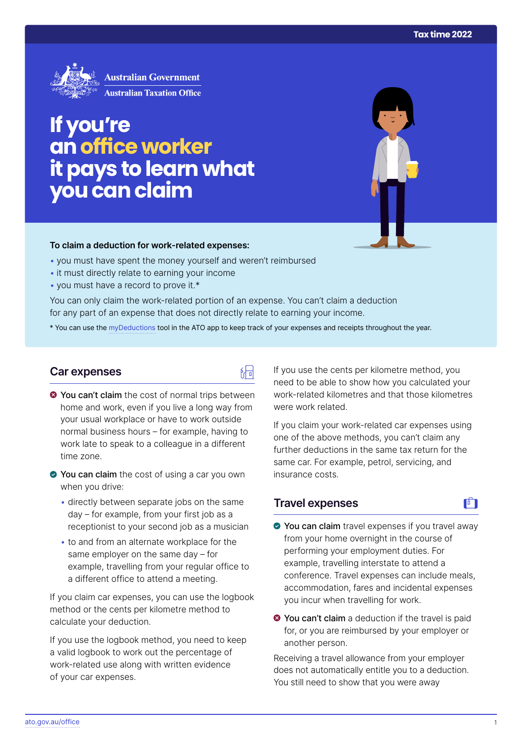

# **If you're anoffice worker it pays tolearn what youcanclaim**

#### **To claim a deduction for work‑related expenses:**

- you must have spent the money yourself and weren't reimbursed
- it must directly relate to earning your income
- you must have a record to prove it.\*

You can only claim the work-related portion of an expense. You can't claim a deduction for any part of an expense that does not directly relate to earning your income.

\* You can use the [myDeductions](https://ato.gov.au/mydeductions) tool in the ATO app to keep track of your expenses and receipts throughout the year.

品

### **Car expenses**

- $\bullet$  You can't claim the cost of normal trips between home and work, even if you live a long way from your usual workplace or have to work outside normal business hours – for example, having to work late to speak to a colleague in a different time zone.
- ◆ You can claim the cost of using a car you own when you drive:
	- directly between separate jobs on the same day – for example, from your first job as a receptionist to your second job as a musician
	- to and from an alternate workplace for the same employer on the same day – for example, travelling from your regular office to a different office to attend a meeting.

If you claim car expenses, you can use the logbook method or the cents per kilometre method to calculate your deduction.

If you use the logbook method, you need to keep a valid logbook to work out the percentage of work-related use along with written evidence of your car expenses.

If you use the cents per kilometre method, you need to be able to show how you calculated your work-related kilometres and that those kilometres were work related.

If you claim your work-related car expenses using one of the above methods, you can't claim any further deductions in the same tax return for the same car. For example, petrol, servicing, and insurance costs.

# **Travel expenses**

# $\mathbf{F}$

- ◆ You can claim travel expenses if you travel away from your home overnight in the course of performing your employment duties. For example, travelling interstate to attend a conference. Travel expenses can include meals, accommodation, fares and incidental expenses you incur when travelling for work.
- **◆ You can't claim** a deduction if the travel is paid for, or you are reimbursed by your employer or another person.

Receiving a travel allowance from your employer does not automatically entitle you to a deduction. You still need to show that you were away